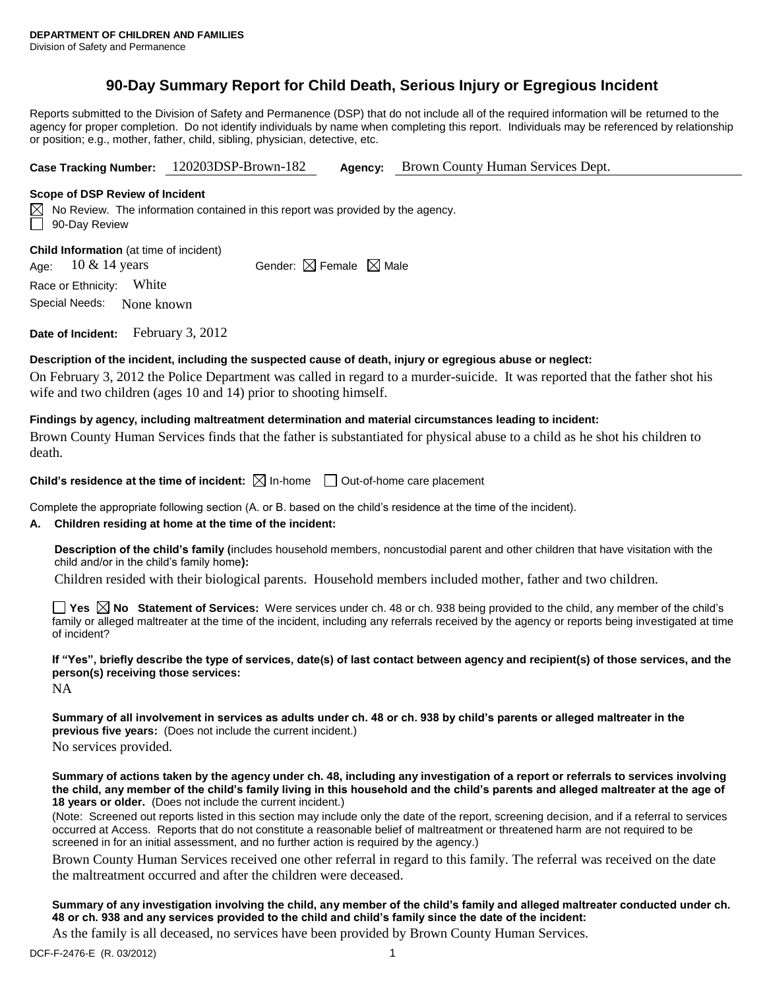# **90-Day Summary Report for Child Death, Serious Injury or Egregious Incident**

Reports submitted to the Division of Safety and Permanence (DSP) that do not include all of the required information will be returned to the agency for proper completion. Do not identify individuals by name when completing this report. Individuals may be referenced by relationship or position; e.g., mother, father, child, sibling, physician, detective, etc.

**Case Tracking Number:** 120203DSP-Brown-182 **Agency:** Brown County Human Services Dept.

### **Scope of DSP Review of Incident**

 $\boxtimes$  No Review. The information contained in this report was provided by the agency. 90-Day Review

**Child Information** (at time of incident)

Age:  $10 \& 14 \text{ years}$  Gender:  $\boxtimes$  Female  $\boxtimes$  Male

Race or Ethnicity: White

Special Needs: None known

**Date of Incident:** February 3, 2012

## **Description of the incident, including the suspected cause of death, injury or egregious abuse or neglect:**

On February 3, 2012 the Police Department was called in regard to a murder-suicide. It was reported that the father shot his wife and two children (ages 10 and 14) prior to shooting himself.

# **Findings by agency, including maltreatment determination and material circumstances leading to incident:**

Brown County Human Services finds that the father is substantiated for physical abuse to a child as he shot his children to death.

**Child's residence at the time of incident:**  $\boxtimes$  In-home  $\Box$  Out-of-home care placement

Complete the appropriate following section (A. or B. based on the child's residence at the time of the incident).

# **A. Children residing at home at the time of the incident:**

**Description of the child's family (**includes household members, noncustodial parent and other children that have visitation with the child and/or in the child's family home**):**

Children resided with their biological parents. Household members included mother, father and two children.

**Yes No Statement of Services:** Were services under ch. 48 or ch. 938 being provided to the child, any member of the child's family or alleged maltreater at the time of the incident, including any referrals received by the agency or reports being investigated at time of incident?

**If "Yes", briefly describe the type of services, date(s) of last contact between agency and recipient(s) of those services, and the person(s) receiving those services:**

NA

**Summary of all involvement in services as adults under ch. 48 or ch. 938 by child's parents or alleged maltreater in the previous five years:** (Does not include the current incident.) No services provided.

**Summary of actions taken by the agency under ch. 48, including any investigation of a report or referrals to services involving the child, any member of the child's family living in this household and the child's parents and alleged maltreater at the age of 18 years or older.** (Does not include the current incident.)

(Note: Screened out reports listed in this section may include only the date of the report, screening decision, and if a referral to services occurred at Access. Reports that do not constitute a reasonable belief of maltreatment or threatened harm are not required to be screened in for an initial assessment, and no further action is required by the agency.)

Brown County Human Services received one other referral in regard to this family. The referral was received on the date the maltreatment occurred and after the children were deceased.

# **Summary of any investigation involving the child, any member of the child's family and alleged maltreater conducted under ch. 48 or ch. 938 and any services provided to the child and child's family since the date of the incident:**

As the family is all deceased, no services have been provided by Brown County Human Services.